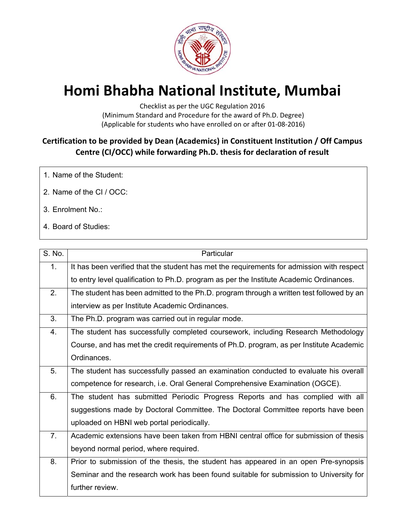

## **Homi Bhabha National Institute, Mumbai**

Checklist as per the UGC Regulation 2016 (Minimum Standard and Procedure for the award of Ph.D. Degree) (Applicable for students who have enrolled on or after 01‐08‐2016)

## **Certification to be provided by Dean (Academics) in Constituent Institution / Off Campus Centre (CI/OCC) while forwarding Ph.D. thesis for declaration of result**

- 1. Name of the Student:
- 2. Name of the CI / OCC:
- 3. Enrolment No.:
- 4. Board of Studies:

| S. No.         | Particular                                                                                |
|----------------|-------------------------------------------------------------------------------------------|
| 1 <sub>1</sub> | It has been verified that the student has met the requirements for admission with respect |
|                | to entry level qualification to Ph.D. program as per the Institute Academic Ordinances.   |
| 2.             | The student has been admitted to the Ph.D. program through a written test followed by an  |
|                | interview as per Institute Academic Ordinances.                                           |
| 3 <sub>1</sub> | The Ph.D. program was carried out in regular mode.                                        |
| 4.             | The student has successfully completed coursework, including Research Methodology         |
|                | Course, and has met the credit requirements of Ph.D. program, as per Institute Academic   |
|                | Ordinances.                                                                               |
| 5.             | The student has successfully passed an examination conducted to evaluate his overall      |
|                | competence for research, i.e. Oral General Comprehensive Examination (OGCE).              |
| 6.             | The student has submitted Periodic Progress Reports and has complied with all             |
|                | suggestions made by Doctoral Committee. The Doctoral Committee reports have been          |
|                | uploaded on HBNI web portal periodically.                                                 |
| 7.             | Academic extensions have been taken from HBNI central office for submission of thesis     |
|                | beyond normal period, where required.                                                     |
| 8.             | Prior to submission of the thesis, the student has appeared in an open Pre-synopsis       |
|                | Seminar and the research work has been found suitable for submission to University for    |
|                | further review.                                                                           |